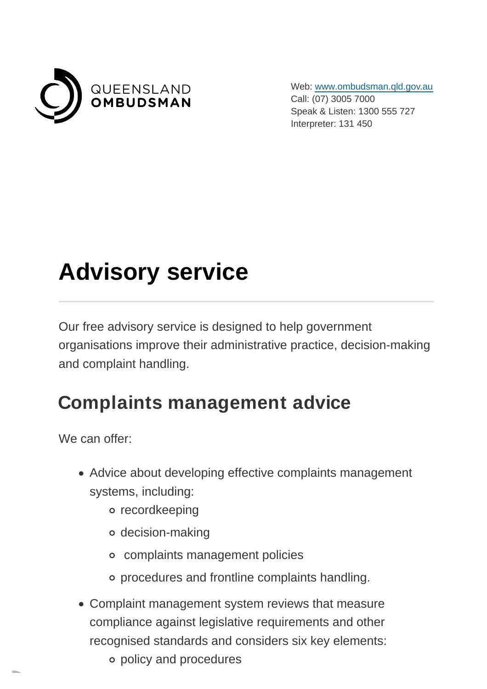

Web: [www.ombudsman.qld.gov.au](https://www.ombudsman.qld.gov.au/) Call: (07) 3005 7000 Speak & Listen: 1300 555 727 Interpreter: 131 450

# **Advisory service**

Our free advisory service is designed to help government organisations improve their administrative practice, decision-making and complaint handling.

#### **Complaints management advice**

We can offer:

- Advice about developing effective complaints management systems, including:
	- o recordkeeping
	- decision-making
	- complaints management policies
	- procedures and frontline complaints handling.
- Complaint management system reviews that measure compliance against legislative requirements and other recognised standards and considers six key elements:
	- policy and procedures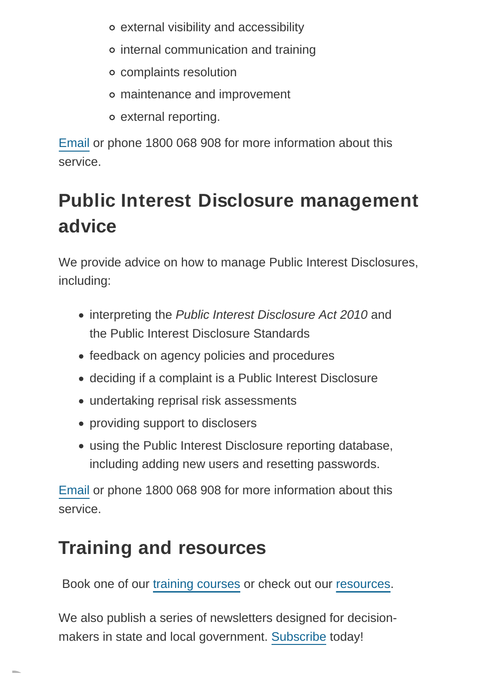- external visibility and accessibility
- internal communication and training
- complaints resolution
- maintenance and improvement
- external reporting.

[Email](mailto:training@ombudsman.qld.gov.au?subject=Complaints%20management%20advice) or phone 1800 068 908 for more information about this service.

## **Public Interest Disclosure management advice**

We provide advice on how to manage Public Interest Disclosures, including:

- interpreting the Public Interest Disclosure Act 2010 and the Public Interest Disclosure Standards
- feedback on agency policies and procedures
- deciding if a complaint is a Public Interest Disclosure
- undertaking reprisal risk assessments
- providing support to disclosers
- using the Public Interest Disclosure reporting database, including adding new users and resetting passwords.

[Email](mailto:PIDAdmin@ombudsman.qld.gov.au?subject=Public%20Interest%20Disclosure%20management%20advice) or phone 1800 068 908 for more information about this service.

### **Training and resources**

Book one of our [training courses](https://www.ombudsman.qld.gov.au/training-and-education/training-courses/training-courses) or check out our [resources.](https://www.ombudsman.qld.gov.au/improve-public-administration/public-administration-resources/public-administration-resources)

We also publish a series of newsletters designed for decisionmakers in state and local government. [Subscribe t](https://www.ombudsman.qld.gov.au/improve-public-administration/newsletters/subscribe-to-our-newsletters//subscribe)oday!